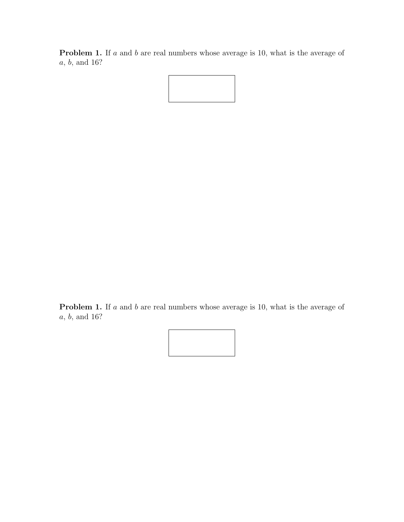Problem 1. If a and b are real numbers whose average is 10, what is the average of a, b, and 16?



Problem 1. If a and b are real numbers whose average is 10, what is the average of a, b, and 16?

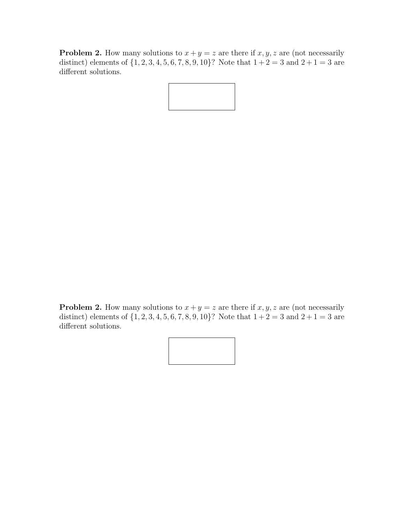**Problem 2.** How many solutions to  $x + y = z$  are there if  $x, y, z$  are (not necessarily distinct) elements of  $\{1, 2, 3, 4, 5, 6, 7, 8, 9, 10\}$ ? Note that  $1+2=3$  and  $2+1=3$  are different solutions.



**Problem 2.** How many solutions to  $x + y = z$  are there if  $x, y, z$  are (not necessarily distinct) elements of  $\{1, 2, 3, 4, 5, 6, 7, 8, 9, 10\}$ ? Note that  $1+2=3$  and  $2+1=3$  are different solutions.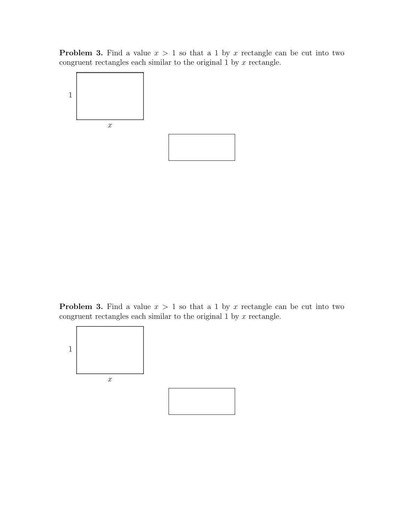**Problem 3.** Find a value  $x > 1$  so that a 1 by x rectangle can be cut into two congruent rectangles each similar to the original  $1$  by  $x$  rectangle.



**Problem 3.** Find a value  $x > 1$  so that a 1 by x rectangle can be cut into two congruent rectangles each similar to the original  $1$  by  $x$  rectangle.

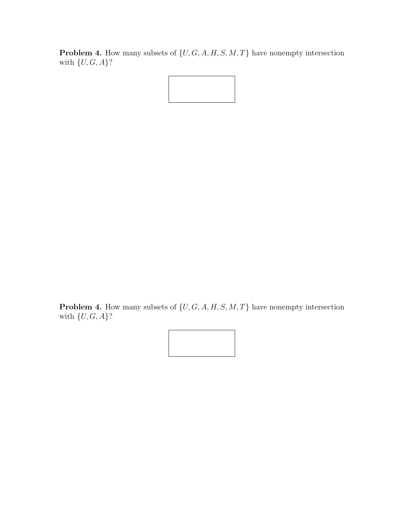**Problem 4.** How many subsets of  $\{U, G, A, H, S, M, T\}$  have nonempty intersection with  $\{U, G, A\}$ ?



**Problem 4.** How many subsets of  $\{U, G, A, H, S, M, T\}$  have nonempty intersection with  $\{U,G,A\}?$ 

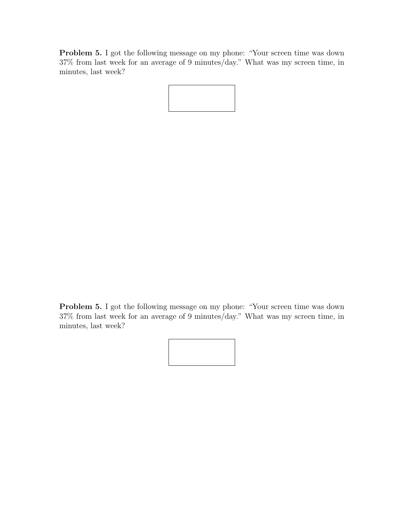Problem 5. I got the following message on my phone: "Your screen time was down 37% from last week for an average of 9 minutes/day." What was my screen time, in minutes, last week?

Problem 5. I got the following message on my phone: "Your screen time was down 37% from last week for an average of 9 minutes/day." What was my screen time, in minutes, last week?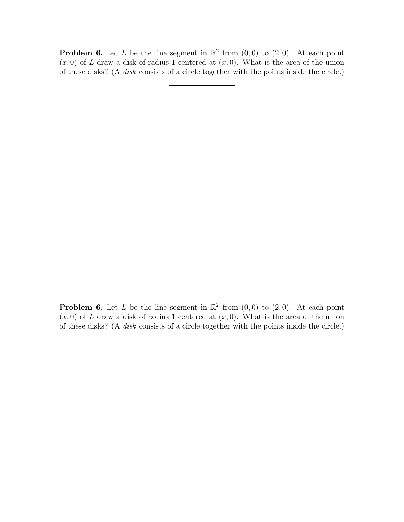**Problem 6.** Let L be the line segment in  $\mathbb{R}^2$  from  $(0,0)$  to  $(2,0)$ . At each point  $(x, 0)$  of L draw a disk of radius 1 centered at  $(x, 0)$ . What is the area of the union of these disks? (A disk consists of a circle together with the points inside the circle.)

**Problem 6.** Let L be the line segment in  $\mathbb{R}^2$  from  $(0,0)$  to  $(2,0)$ . At each point  $(x, 0)$  of L draw a disk of radius 1 centered at  $(x, 0)$ . What is the area of the union of these disks? (A disk consists of a circle together with the points inside the circle.)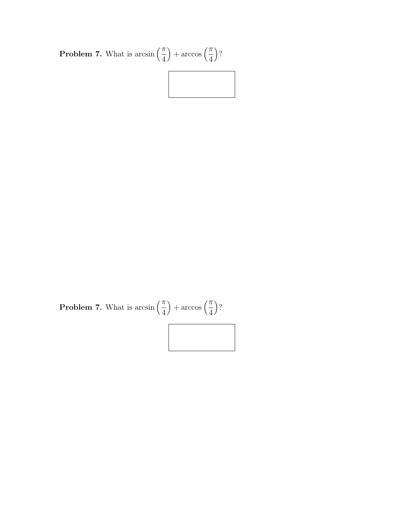

**Problem 7.** What is arcsin  $\left(\frac{\pi}{4}\right)$ 4  $+\arccos\left(\frac{\pi}{4}\right)$ 4  $\big)$ ?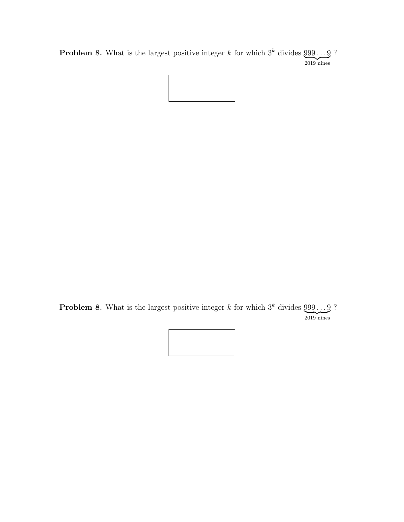**Problem 8.** What is the largest positive integer k for which  $3^k$  divides  $999...9$  $\overline{2019}$  nines ?



**Problem 8.** What is the largest positive integer k for which  $3^k$  divides  $999...9$  $\overline{2019}$  nines ?

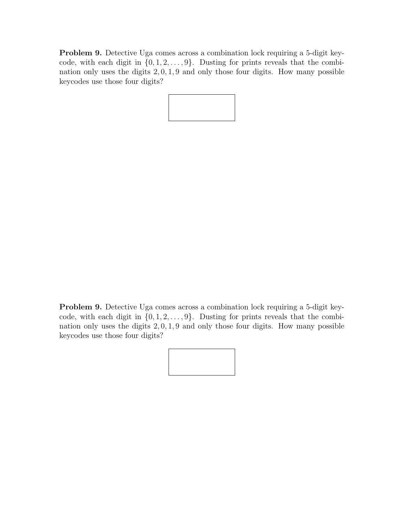Problem 9. Detective Uga comes across a combination lock requiring a 5-digit keycode, with each digit in  $\{0, 1, 2, \ldots, 9\}$ . Dusting for prints reveals that the combination only uses the digits 2, 0, 1, 9 and only those four digits. How many possible keycodes use those four digits?



Problem 9. Detective Uga comes across a combination lock requiring a 5-digit keycode, with each digit in  $\{0, 1, 2, \ldots, 9\}$ . Dusting for prints reveals that the combination only uses the digits 2, 0, 1, 9 and only those four digits. How many possible keycodes use those four digits?